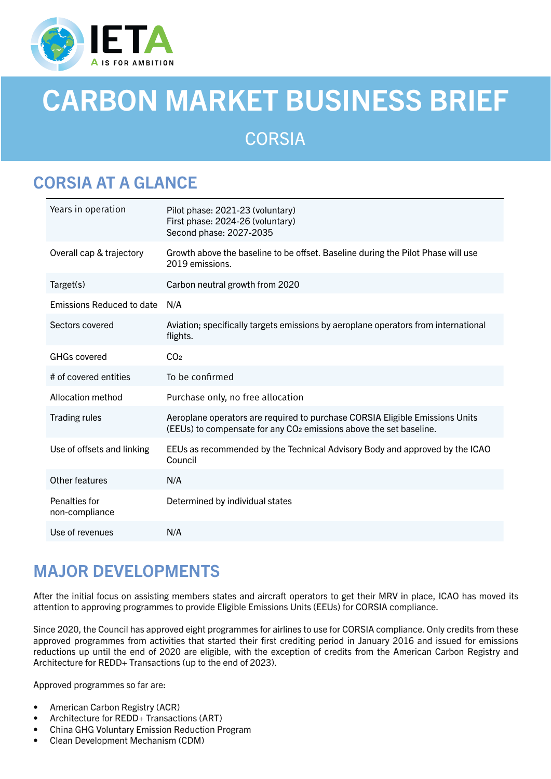

# CARBON MARKET BUSINESS BRIEF

**CORSIA** 

# CORSIA AT A GLANCE

| Years in operation              | Pilot phase: 2021-23 (voluntary)<br>First phase: 2024-26 (voluntary)<br>Second phase: 2027-2035                                                                |
|---------------------------------|----------------------------------------------------------------------------------------------------------------------------------------------------------------|
| Overall cap & trajectory        | Growth above the baseline to be offset. Baseline during the Pilot Phase will use<br>2019 emissions.                                                            |
| Target(s)                       | Carbon neutral growth from 2020                                                                                                                                |
| Emissions Reduced to date       | N/A                                                                                                                                                            |
| Sectors covered                 | Aviation; specifically targets emissions by aeroplane operators from international<br>flights.                                                                 |
| <b>GHGs covered</b>             | CO <sub>2</sub>                                                                                                                                                |
| # of covered entities           | To be confirmed                                                                                                                                                |
| Allocation method               | Purchase only, no free allocation                                                                                                                              |
| <b>Trading rules</b>            | Aeroplane operators are required to purchase CORSIA Eligible Emissions Units<br>(EEUs) to compensate for any CO <sub>2</sub> emissions above the set baseline. |
| Use of offsets and linking      | EEUs as recommended by the Technical Advisory Body and approved by the ICAO<br>Council                                                                         |
| Other features                  | N/A                                                                                                                                                            |
| Penalties for<br>non-compliance | Determined by individual states                                                                                                                                |
| Use of revenues                 | N/A                                                                                                                                                            |

# MAJOR DEVELOPMENTS

After the initial focus on assisting members states and aircraft operators to get their MRV in place, ICAO has moved its attention to approving programmes to provide Eligible Emissions Units (EEUs) for CORSIA compliance.

Since 2020, the Council has approved eight programmes for airlines to use for CORSIA compliance. Only credits from these approved programmes from activities that started their first crediting period in January 2016 and issued for emissions reductions up until the end of 2020 are eligible, with the exception of credits from the American Carbon Registry and Architecture for REDD+ Transactions (up to the end of 2023).

Approved programmes so far are:

- American Carbon Registry (ACR)
- Architecture for REDD+ Transactions (ART)
- China GHG Voluntary Emission Reduction Program
- Clean Development Mechanism (CDM)